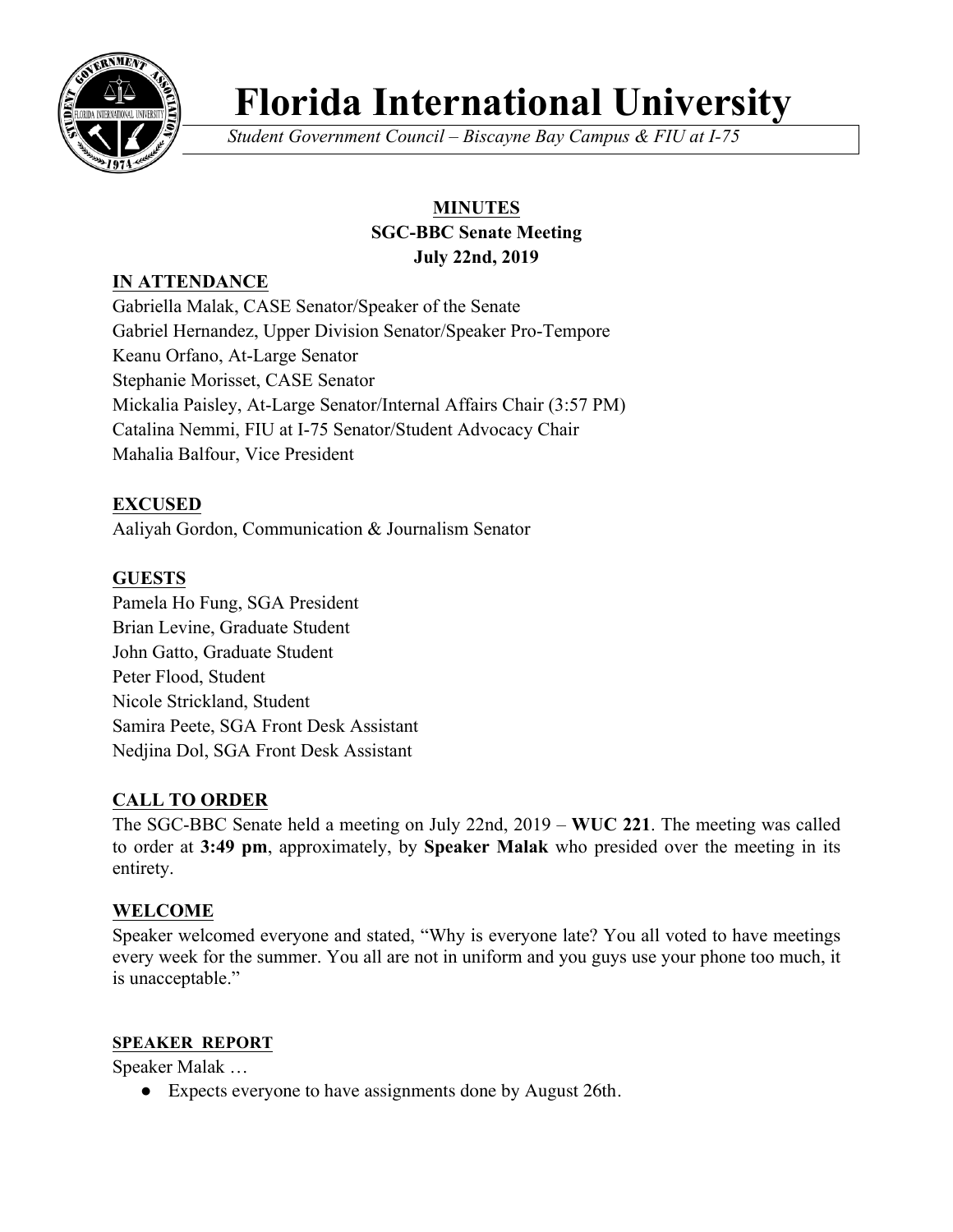

# **Florida International University**

*Student Government Council – Biscayne Bay Campus & FIU at I-75*

## **MINUTES**

#### **SGC-BBC Senate Meeting July 22nd, 2019**

## **IN ATTENDANCE**

Gabriella Malak, CASE Senator/Speaker of the Senate Gabriel Hernandez, Upper Division Senator/Speaker Pro-Tempore Keanu Orfano, At-Large Senator Stephanie Morisset, CASE Senator Mickalia Paisley, At-Large Senator/Internal Affairs Chair (3:57 PM) Catalina Nemmi, FIU at I-75 Senator/Student Advocacy Chair Mahalia Balfour, Vice President

## **EXCUSED**

Aaliyah Gordon, Communication & Journalism Senator

## **GUESTS**

Pamela Ho Fung, SGA President Brian Levine, Graduate Student John Gatto, Graduate Student Peter Flood, Student Nicole Strickland, Student Samira Peete, SGA Front Desk Assistant Nedjina Dol, SGA Front Desk Assistant

## **CALL TO ORDER**

The SGC-BBC Senate held a meeting on July 22nd, 2019 – **WUC 221**. The meeting was called to order at **3:49 pm**, approximately, by **Speaker Malak** who presided over the meeting in its entirety.

## **WELCOME**

Speaker welcomed everyone and stated, "Why is everyone late? You all voted to have meetings every week for the summer. You all are not in uniform and you guys use your phone too much, it is unacceptable."

## **SPEAKER REPORT**

Speaker Malak …

● Expects everyone to have assignments done by August 26th.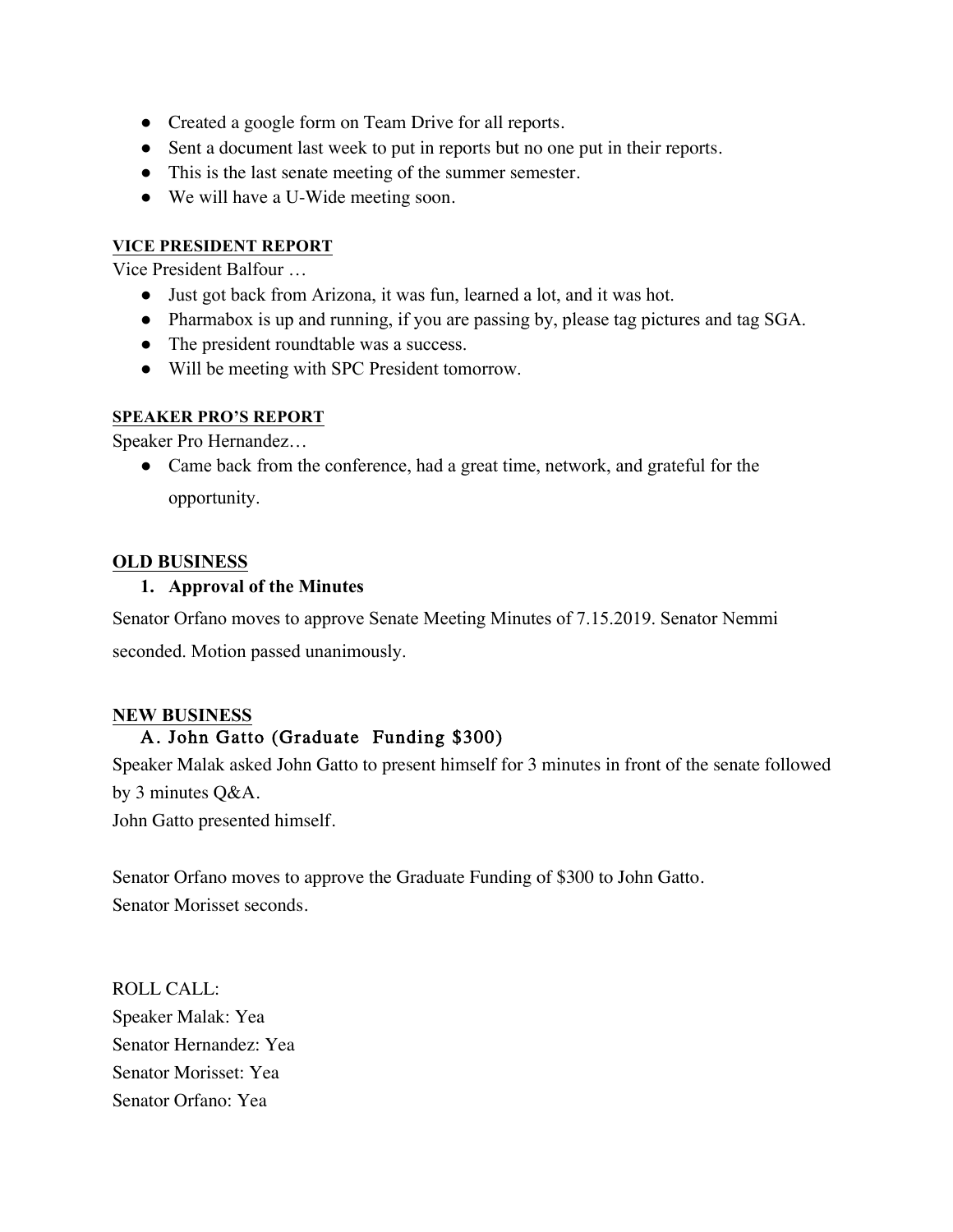- Created a google form on Team Drive for all reports.
- Sent a document last week to put in reports but no one put in their reports.
- This is the last senate meeting of the summer semester.
- We will have a U-Wide meeting soon.

#### **VICE PRESIDENT REPORT**

Vice President Balfour …

- Just got back from Arizona, it was fun, learned a lot, and it was hot.
- Pharmabox is up and running, if you are passing by, please tag pictures and tag SGA.
- The president roundtable was a success.
- Will be meeting with SPC President tomorrow.

#### **SPEAKER PRO'S REPORT**

Speaker Pro Hernandez…

• Came back from the conference, had a great time, network, and grateful for the opportunity.

#### **OLD BUSINESS**

#### **1. Approval of the Minutes**

Senator Orfano moves to approve Senate Meeting Minutes of 7.15.2019. Senator Nemmi seconded. Motion passed unanimously.

#### **NEW BUSINESS**

## A. John Gatto (Graduate Funding \$300)

Speaker Malak asked John Gatto to present himself for 3 minutes in front of the senate followed by 3 minutes Q&A.

John Gatto presented himself.

Senator Orfano moves to approve the Graduate Funding of \$300 to John Gatto. Senator Morisset seconds.

ROLL CALL: Speaker Malak: Yea Senator Hernandez: Yea Senator Morisset: Yea Senator Orfano: Yea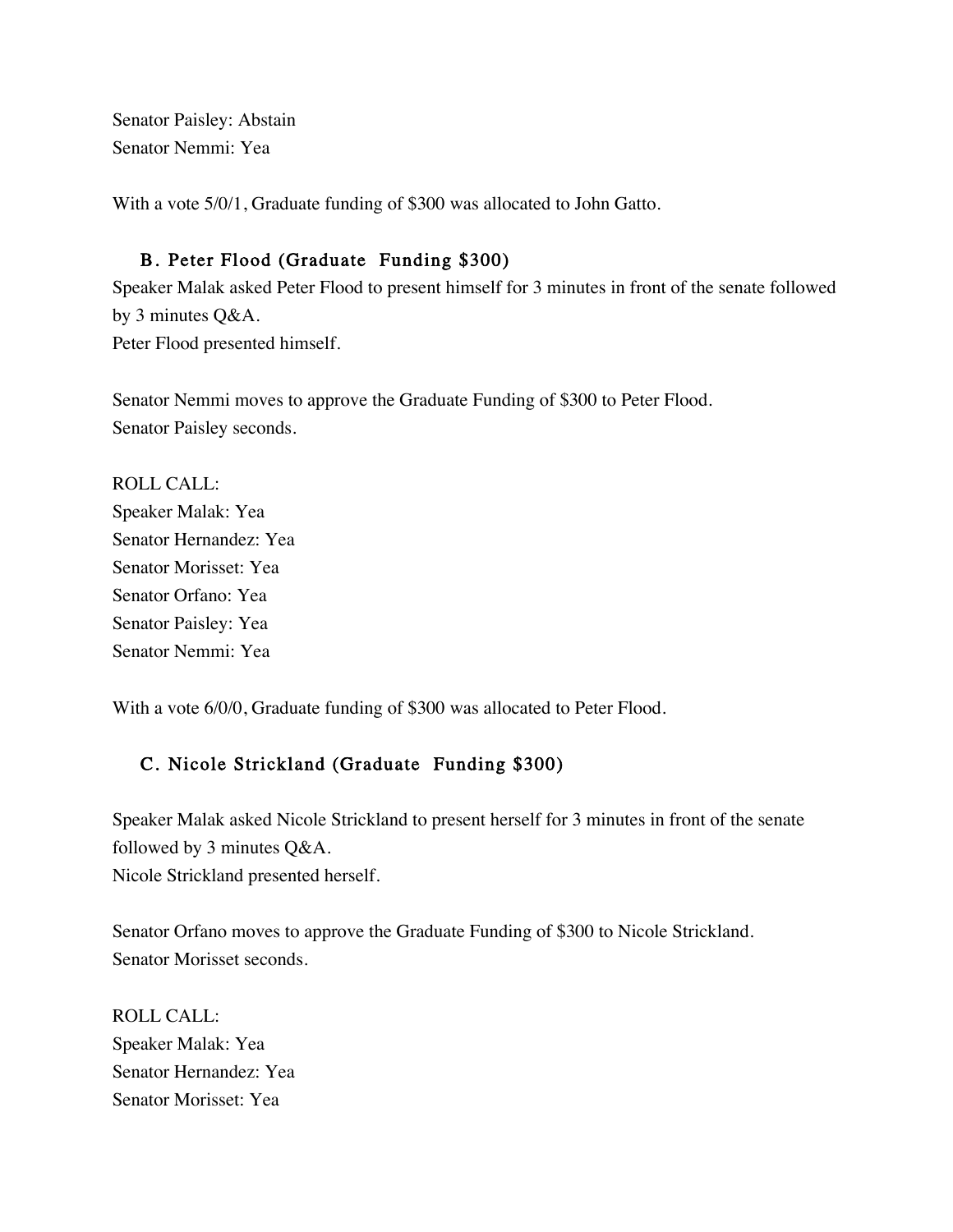Senator Paisley: Abstain Senator Nemmi: Yea

With a vote 5/0/1, Graduate funding of \$300 was allocated to John Gatto.

## B. Peter Flood (Graduate Funding \$300)

Speaker Malak asked Peter Flood to present himself for 3 minutes in front of the senate followed by 3 minutes Q&A. Peter Flood presented himself.

Senator Nemmi moves to approve the Graduate Funding of \$300 to Peter Flood. Senator Paisley seconds.

ROLL CALL: Speaker Malak: Yea Senator Hernandez: Yea Senator Morisset: Yea Senator Orfano: Yea Senator Paisley: Yea Senator Nemmi: Yea

With a vote 6/0/0, Graduate funding of \$300 was allocated to Peter Flood.

## C. Nicole Strickland (Graduate Funding \$300)

Speaker Malak asked Nicole Strickland to present herself for 3 minutes in front of the senate followed by 3 minutes Q&A. Nicole Strickland presented herself.

Senator Orfano moves to approve the Graduate Funding of \$300 to Nicole Strickland. Senator Morisset seconds.

ROLL CALL: Speaker Malak: Yea Senator Hernandez: Yea Senator Morisset: Yea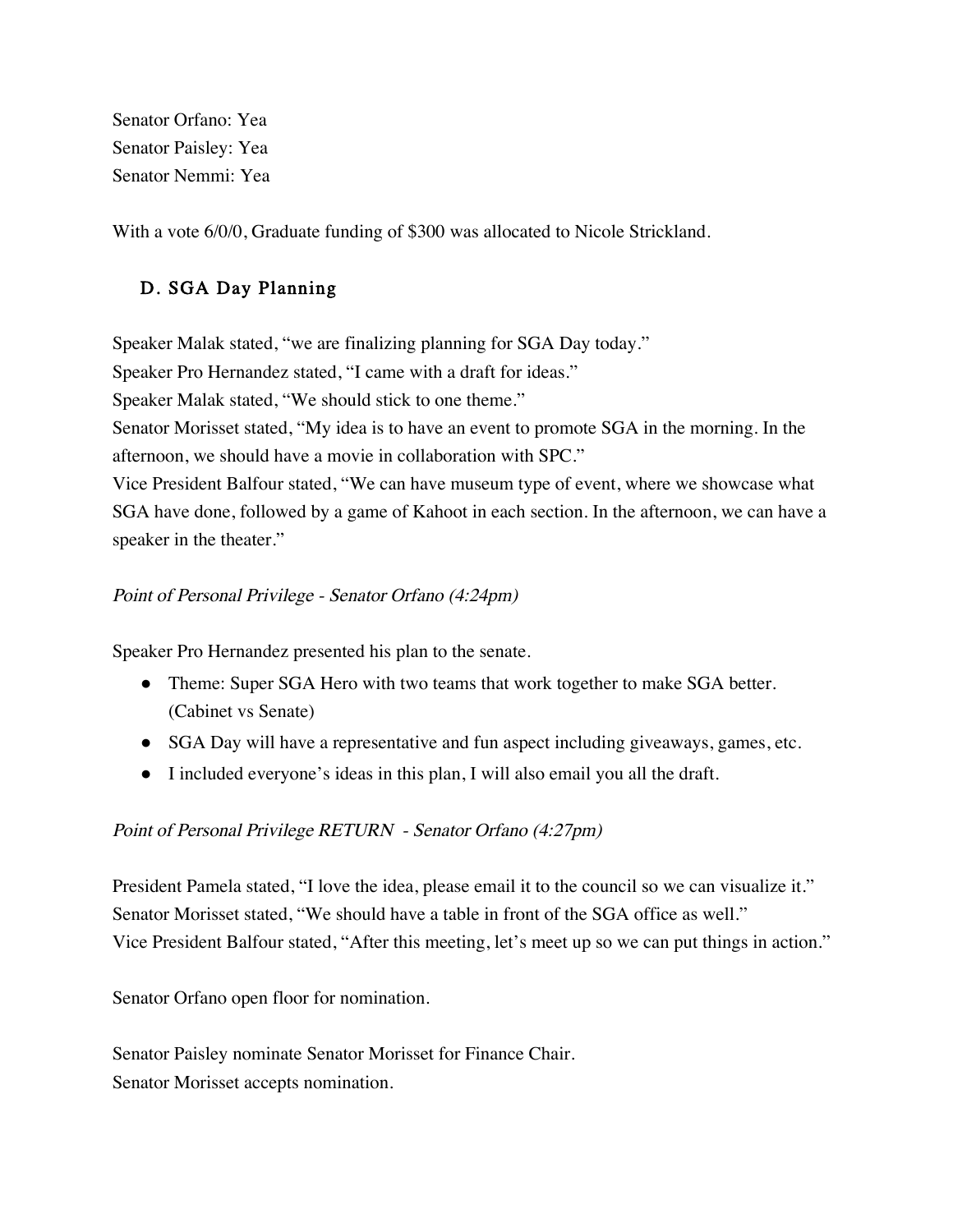Senator Orfano: Yea Senator Paisley: Yea Senator Nemmi: Yea

With a vote 6/0/0, Graduate funding of \$300 was allocated to Nicole Strickland.

## D. SGA Day Planning

Speaker Malak stated, "we are finalizing planning for SGA Day today." Speaker Pro Hernandez stated, "I came with a draft for ideas." Speaker Malak stated, "We should stick to one theme." Senator Morisset stated, "My idea is to have an event to promote SGA in the morning. In the afternoon, we should have a movie in collaboration with SPC." Vice President Balfour stated, "We can have museum type of event, where we showcase what SGA have done, followed by a game of Kahoot in each section. In the afternoon, we can have a speaker in the theater."

#### Point of Personal Privilege - Senator Orfano (4:24pm)

Speaker Pro Hernandez presented his plan to the senate.

- Theme: Super SGA Hero with two teams that work together to make SGA better. (Cabinet vs Senate)
- SGA Day will have a representative and fun aspect including giveaways, games, etc.
- I included everyone's ideas in this plan, I will also email you all the draft.

#### Point of Personal Privilege RETURN - Senator Orfano (4:27pm)

President Pamela stated, "I love the idea, please email it to the council so we can visualize it." Senator Morisset stated, "We should have a table in front of the SGA office as well." Vice President Balfour stated, "After this meeting, let's meet up so we can put things in action."

Senator Orfano open floor for nomination.

Senator Paisley nominate Senator Morisset for Finance Chair. Senator Morisset accepts nomination.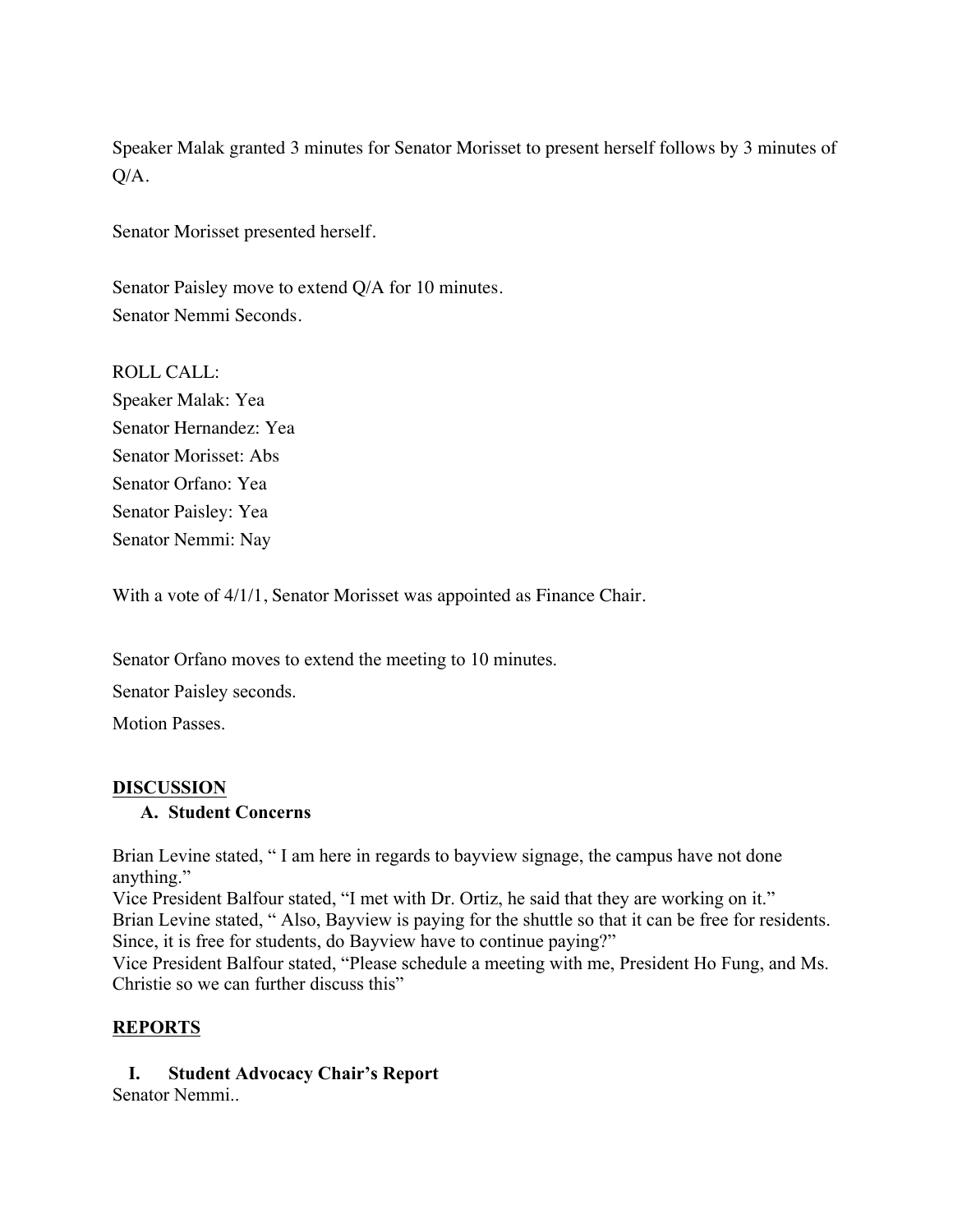Speaker Malak granted 3 minutes for Senator Morisset to present herself follows by 3 minutes of Q/A.

Senator Morisset presented herself.

Senator Paisley move to extend Q/A for 10 minutes. Senator Nemmi Seconds.

ROLL CALL: Speaker Malak: Yea Senator Hernandez: Yea Senator Morisset: Abs Senator Orfano: Yea Senator Paisley: Yea Senator Nemmi: Nay

With a vote of  $4/1/1$ , Senator Morisset was appointed as Finance Chair.

Senator Orfano moves to extend the meeting to 10 minutes.

Senator Paisley seconds.

Motion Passes.

#### **DISCUSSION**

#### **A. Student Concerns**

Brian Levine stated, " I am here in regards to bayview signage, the campus have not done anything."

Vice President Balfour stated, "I met with Dr. Ortiz, he said that they are working on it." Brian Levine stated, "Also, Bayview is paying for the shuttle so that it can be free for residents. Since, it is free for students, do Bayview have to continue paying?"

Vice President Balfour stated, "Please schedule a meeting with me, President Ho Fung, and Ms. Christie so we can further discuss this"

#### **REPORTS**

**I. Student Advocacy Chair's Report**

Senator Nemmi..